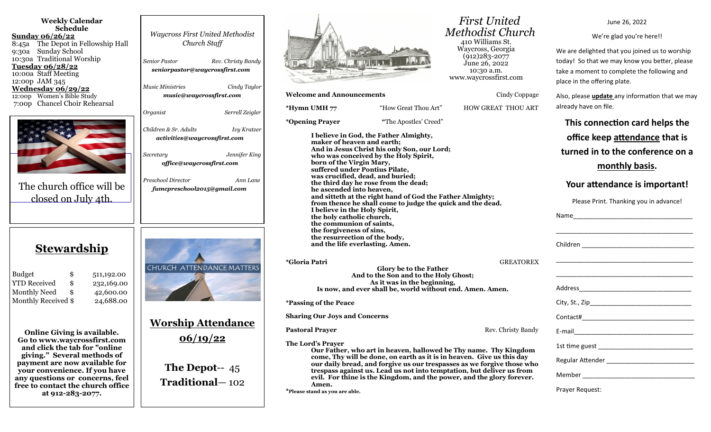| <b>Weekly Calendar</b><br><b>Schedule</b><br><u>Sunday 06/26/22</u><br>8:45a The Depot in Fellowship Hall<br><b>Sunday School</b><br>9:30a<br>10:30a Traditional Worship                                                                                                                        | <b>Waycross First United Methodist</b><br>Church Staff                       |
|-------------------------------------------------------------------------------------------------------------------------------------------------------------------------------------------------------------------------------------------------------------------------------------------------|------------------------------------------------------------------------------|
| <u>Tuesday 06/28/22</u>                                                                                                                                                                                                                                                                         | <b>Senior Pastor</b><br>Rev. Christy Bandy                                   |
| 10:00a Staff Meeting                                                                                                                                                                                                                                                                            | seniorpastor@waycrossfirst.com                                               |
| 12:00p JAM 345                                                                                                                                                                                                                                                                                  | <b>Music Ministries</b><br>Cindy Taylor                                      |
| <u>Wednesday 06/29/22</u><br>12:00p Women's Bible Study                                                                                                                                                                                                                                         | music@waycrossfirst.com                                                      |
| 7:00p Chancel Choir Rehearsal                                                                                                                                                                                                                                                                   |                                                                              |
|                                                                                                                                                                                                                                                                                                 | Organist<br>Serrell Zeigler                                                  |
|                                                                                                                                                                                                                                                                                                 |                                                                              |
|                                                                                                                                                                                                                                                                                                 | Children & Sr. Adults<br><b>Ivy Kratzer</b>                                  |
|                                                                                                                                                                                                                                                                                                 | activities@waycrossfirst.com                                                 |
|                                                                                                                                                                                                                                                                                                 |                                                                              |
|                                                                                                                                                                                                                                                                                                 | Jennifer King<br>Secretary                                                   |
|                                                                                                                                                                                                                                                                                                 | office@waycrossfirst.com                                                     |
|                                                                                                                                                                                                                                                                                                 |                                                                              |
|                                                                                                                                                                                                                                                                                                 | Preschool Director<br>Ann Lane                                               |
| The church office will be                                                                                                                                                                                                                                                                       | fumcpreschool2015@gmail.com                                                  |
| closed on July 4th.                                                                                                                                                                                                                                                                             |                                                                              |
|                                                                                                                                                                                                                                                                                                 |                                                                              |
|                                                                                                                                                                                                                                                                                                 |                                                                              |
|                                                                                                                                                                                                                                                                                                 |                                                                              |
| <u>Stewardship</u><br><b>Budget</b><br>\$<br>511,192.00<br><b>YTD Received</b><br>\$<br>232,169.00<br><b>Monthly Need</b><br>\$<br>42,600.00<br><b>Monthly Received \$</b><br>24,688.00                                                                                                         | CHURCH ATTENDANCE MATTERS                                                    |
| <b>Online Giving is available.</b><br>Go to www.waycrossfirst.com<br>and click the tab for "online<br>giving." Several methods of<br>payment are now available for<br>your convenience. If you have<br>any questions or concerns, feel<br>free to contact the church office<br>at 912-283-2077. | <b>Worship Attendance</b><br>06/19/22<br>The Depot-- $45$<br>Traditional-102 |
|                                                                                                                                                                                                                                                                                                 |                                                                              |



#### **Welcome and Announcements** Cindy Coppage

| *Hymn UMH 77                                                                                                                                                                                                                                                                                                                                       | "How Great Thou Art"                                                                                                                                                                                                                                                                              | <b>HOW GREAT THOU ART</b>                                              |
|----------------------------------------------------------------------------------------------------------------------------------------------------------------------------------------------------------------------------------------------------------------------------------------------------------------------------------------------------|---------------------------------------------------------------------------------------------------------------------------------------------------------------------------------------------------------------------------------------------------------------------------------------------------|------------------------------------------------------------------------|
| <i>*</i> Opening Prayer                                                                                                                                                                                                                                                                                                                            | "The Apostles' Creed"                                                                                                                                                                                                                                                                             |                                                                        |
| maker of heaven and earth;<br>born of the Virgin Mary,<br>suffered under Pontius Pilate,<br>was crucified, dead, and buried;<br>he ascended into heaven,<br>I believe in the Holy Spirit,<br>the holy catholic church,<br>the communion of saints,<br>the forgiveness of sins,<br>the resurrection of the body,<br>and the life everlasting. Amen. | I believe in God, the Father Almighty,<br>And in Jesus Christ his only Son, our Lord;<br>who was conceived by the Holy Spirit,<br>the third day he rose from the dead;<br>and sitteth at the right hand of God the Father Almighty;<br>from thence he shall come to judge the quick and the dead. |                                                                        |
| *Gloria Patri                                                                                                                                                                                                                                                                                                                                      | Glory be to the Father<br>And to the Son and to the Holy Ghost;<br>As it was in the beginning,<br>Is now, and ever shall be, world without end. Amen. Amen.                                                                                                                                       | <b>GREATOREX</b>                                                       |
| <i>*Passing of the Peace</i>                                                                                                                                                                                                                                                                                                                       |                                                                                                                                                                                                                                                                                                   |                                                                        |
| <b>Sharing Our Joys and Concerns</b>                                                                                                                                                                                                                                                                                                               |                                                                                                                                                                                                                                                                                                   |                                                                        |
| <b>Pastoral Prayer</b>                                                                                                                                                                                                                                                                                                                             |                                                                                                                                                                                                                                                                                                   | Rev. Christy Bandy                                                     |
| The Lord's Prayer<br>Amen.<br>*Please stand as you are able.                                                                                                                                                                                                                                                                                       | Our Father, who art in heaven, hallowed be Thy name. Thy Kingdom<br>come, Thy will be done, on earth as it is in heaven. Give us this day<br>trespass against us. Lead us not into temptation, but deliver us from<br>evil. For thine is the Kingdom, and the power, and the glory forever.       | our daily bread, and forgive us our trespasses as we forgive those who |

 *First United Methodist Church* 410 Williams St. Waycross, Georgia  $(912)283 - 2077$ June 26, 2022 10:30 a.m. www.waycrossfirst.com

> Also, please **update** any information that we may already have on file. **This connection card helps the office keep attendance that is turned in to the conference on a monthly basis. Your attendance is important!** Please Print. Thanking you in advance! Name\_\_\_\_\_\_\_\_\_\_\_\_\_\_\_\_\_\_\_\_\_\_\_\_\_\_\_\_\_\_\_\_\_\_ \_\_\_\_\_\_\_\_\_\_\_\_\_\_\_\_\_\_\_\_\_\_\_\_\_\_\_\_\_\_\_\_\_\_\_\_\_\_\_ Children **Executive Children** \_\_\_\_\_\_\_\_\_\_\_\_\_\_\_\_\_\_\_\_\_\_\_\_\_\_\_\_\_\_\_\_\_\_\_\_\_\_\_ \_\_\_\_\_\_\_\_\_\_\_\_\_\_\_\_\_\_\_\_\_\_\_\_\_\_\_\_\_\_\_\_\_\_\_\_\_\_\_ Address\_\_\_\_\_\_\_\_\_\_\_\_\_\_\_\_\_\_\_\_\_\_\_\_\_\_\_\_\_\_\_\_ City, St., Zip\_\_\_\_\_\_\_\_\_\_\_\_\_\_\_\_\_\_\_\_\_\_\_\_\_\_\_\_\_ Contact#\_\_\_\_\_\_\_\_\_\_\_\_\_\_\_\_\_\_\_\_\_\_\_\_\_\_\_\_\_\_\_\_ E-mail\_\_\_\_\_\_\_\_\_\_\_\_\_\_\_\_\_\_\_\_\_\_\_\_\_\_\_\_\_\_\_\_\_\_ 1st time guest \_\_\_\_\_\_\_\_\_\_\_\_\_\_\_\_\_\_\_\_\_\_\_\_\_\_\_ Regular Attender \_\_\_\_\_\_\_\_\_\_\_\_\_\_\_\_\_\_\_\_\_\_\_\_\_ Member \_\_\_\_\_\_\_\_\_\_\_\_\_\_\_\_\_\_\_\_\_\_\_\_\_\_\_\_\_\_\_\_ Prayer Request:

#### June 26, 2022

We're glad you're here!!

We are delighted that you joined us to worship today! So that we may know you better, please take a moment to complete the following and place in the offering plate.